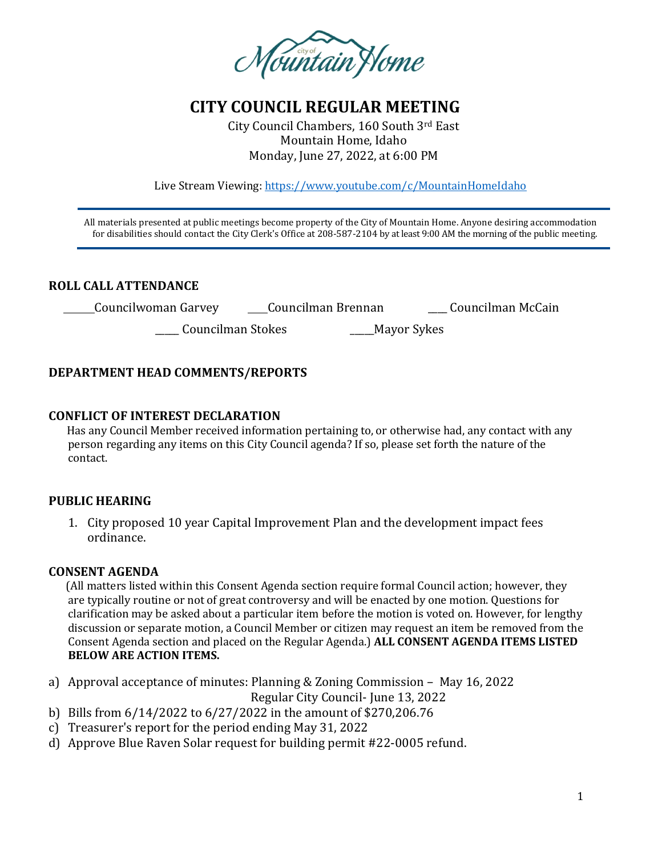

# **CITY COUNCIL REGULAR MEETING**

City Council Chambers, 160 South 3rd East Mountain Home, Idaho Monday, June 27, 2022, at 6:00 PM

Live Stream Viewing:<https://www.youtube.com/c/MountainHomeIdaho>

 All materials presented at public meetings become property of the City of Mountain Home. Anyone desiring accommodation for disabilities should contact the City Clerk's Office at 208-587-2104 by at least 9:00 AM the morning of the public meeting.

## **ROLL CALL ATTENDANCE**

| Councilman Brennan<br>Councilwoman Garvey | Councilman McCain |
|-------------------------------------------|-------------------|
|-------------------------------------------|-------------------|

\_\_\_\_\_ Councilman Stokes \_\_\_\_\_Mayor Sykes

## **DEPARTMENT HEAD COMMENTS/REPORTS**

#### **CONFLICT OF INTEREST DECLARATION**

 Has any Council Member received information pertaining to, or otherwise had, any contact with any person regarding any items on this City Council agenda? If so, please set forth the nature of the contact.

## **PUBLIC HEARING**

1. City proposed 10 year Capital Improvement Plan and the development impact fees ordinance.

#### **CONSENT AGENDA**

 (All matters listed within this Consent Agenda section require formal Council action; however, they are typically routine or not of great controversy and will be enacted by one motion. Questions for clarification may be asked about a particular item before the motion is voted on. However, for lengthy discussion or separate motion, a Council Member or citizen may request an item be removed from the Consent Agenda section and placed on the Regular Agenda.) **ALL CONSENT AGENDA ITEMS LISTED BELOW ARE ACTION ITEMS.**

a) Approval acceptance of minutes: Planning & Zoning Commission – May 16, 2022

Regular City Council- June 13, 2022

- b) Bills from 6/14/2022 to 6/27/2022 in the amount of \$270,206.76
- c) Treasurer's report for the period ending May 31, 2022
- d) Approve Blue Raven Solar request for building permit #22-0005 refund.